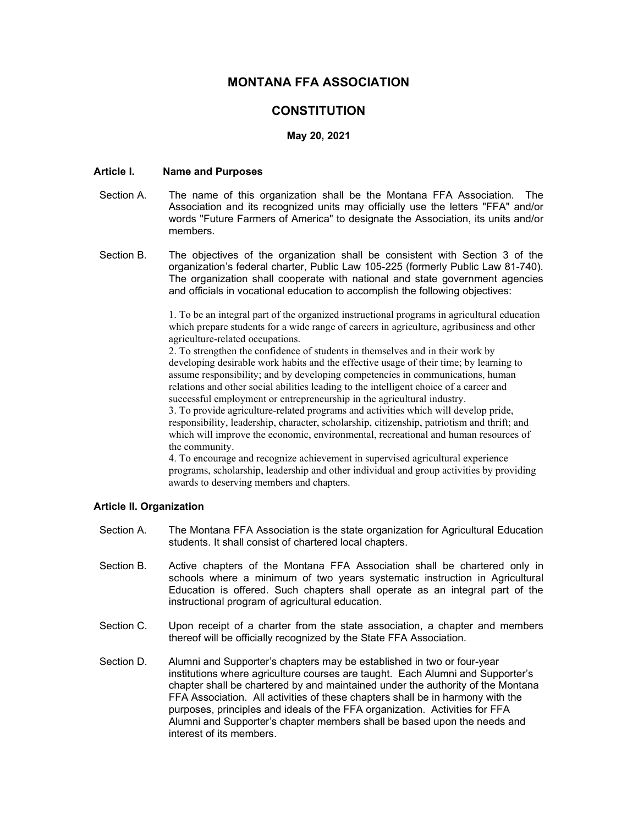# MONTANA FFA ASSOCIATION

# **CONSTITUTION**

## May 20, 2021

# Article I. Name and Purposes

- Section A. The name of this organization shall be the Montana FFA Association. The Association and its recognized units may officially use the letters "FFA" and/or words "Future Farmers of America" to designate the Association, its units and/or members.
- Section B. The objectives of the organization shall be consistent with Section 3 of the organization's federal charter, Public Law 105-225 (formerly Public Law 81-740). The organization shall cooperate with national and state government agencies and officials in vocational education to accomplish the following objectives:

1. To be an integral part of the organized instructional programs in agricultural education which prepare students for a wide range of careers in agriculture, agribusiness and other agriculture-related occupations.

2. To strengthen the confidence of students in themselves and in their work by developing desirable work habits and the effective usage of their time; by learning to assume responsibility; and by developing competencies in communications, human relations and other social abilities leading to the intelligent choice of a career and successful employment or entrepreneurship in the agricultural industry.

3. To provide agriculture-related programs and activities which will develop pride, responsibility, leadership, character, scholarship, citizenship, patriotism and thrift; and which will improve the economic, environmental, recreational and human resources of the community.

4. To encourage and recognize achievement in supervised agricultural experience programs, scholarship, leadership and other individual and group activities by providing awards to deserving members and chapters.

## Article II. Organization

- Section A. The Montana FFA Association is the state organization for Agricultural Education students. It shall consist of chartered local chapters.
- Section B. Active chapters of the Montana FFA Association shall be chartered only in schools where a minimum of two years systematic instruction in Agricultural Education is offered. Such chapters shall operate as an integral part of the instructional program of agricultural education.
- Section C. Upon receipt of a charter from the state association, a chapter and members thereof will be officially recognized by the State FFA Association.
- Section D. Alumni and Supporter's chapters may be established in two or four-year institutions where agriculture courses are taught. Each Alumni and Supporter's chapter shall be chartered by and maintained under the authority of the Montana FFA Association. All activities of these chapters shall be in harmony with the purposes, principles and ideals of the FFA organization. Activities for FFA Alumni and Supporter's chapter members shall be based upon the needs and interest of its members.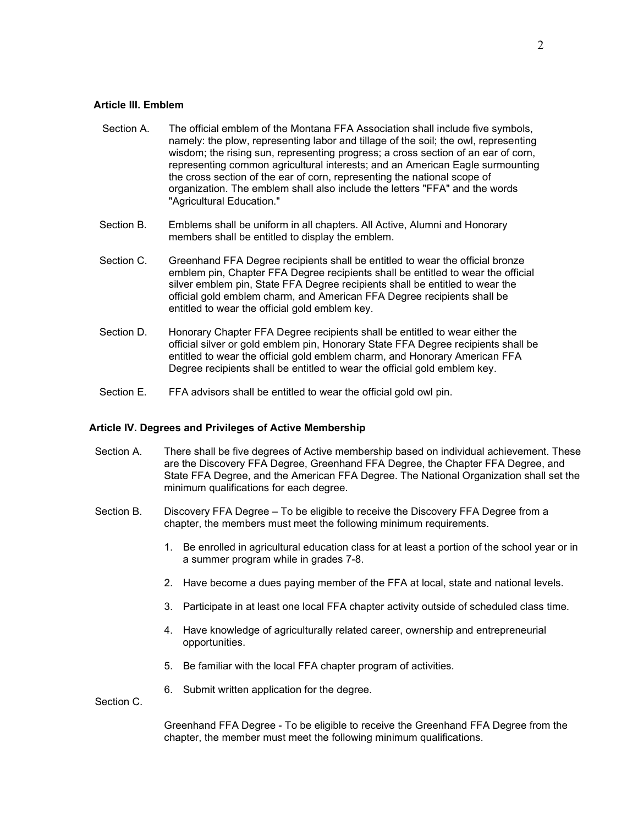#### Article III. Emblem

- Section A. The official emblem of the Montana FFA Association shall include five symbols, namely: the plow, representing labor and tillage of the soil; the owl, representing wisdom; the rising sun, representing progress; a cross section of an ear of corn, representing common agricultural interests; and an American Eagle surmounting the cross section of the ear of corn, representing the national scope of organization. The emblem shall also include the letters "FFA" and the words "Agricultural Education."
- Section B. Emblems shall be uniform in all chapters. All Active, Alumni and Honorary members shall be entitled to display the emblem.
- Section C. Greenhand FFA Degree recipients shall be entitled to wear the official bronze emblem pin, Chapter FFA Degree recipients shall be entitled to wear the official silver emblem pin, State FFA Degree recipients shall be entitled to wear the official gold emblem charm, and American FFA Degree recipients shall be entitled to wear the official gold emblem key.
- Section D. Honorary Chapter FFA Degree recipients shall be entitled to wear either the official silver or gold emblem pin, Honorary State FFA Degree recipients shall be entitled to wear the official gold emblem charm, and Honorary American FFA Degree recipients shall be entitled to wear the official gold emblem key.
- Section E. FFA advisors shall be entitled to wear the official gold owl pin.

# Article IV. Degrees and Privileges of Active Membership

- Section A. There shall be five degrees of Active membership based on individual achievement. These are the Discovery FFA Degree, Greenhand FFA Degree, the Chapter FFA Degree, and State FFA Degree, and the American FFA Degree. The National Organization shall set the minimum qualifications for each degree.
- Section B. Discovery FFA Degree To be eligible to receive the Discovery FFA Degree from a chapter, the members must meet the following minimum requirements.
	- 1. Be enrolled in agricultural education class for at least a portion of the school year or in a summer program while in grades 7-8.
	- 2. Have become a dues paying member of the FFA at local, state and national levels.
	- 3. Participate in at least one local FFA chapter activity outside of scheduled class time.
	- 4. Have knowledge of agriculturally related career, ownership and entrepreneurial opportunities.
	- 5. Be familiar with the local FFA chapter program of activities.
	- 6. Submit written application for the degree.

Section C.

Greenhand FFA Degree - To be eligible to receive the Greenhand FFA Degree from the chapter, the member must meet the following minimum qualifications.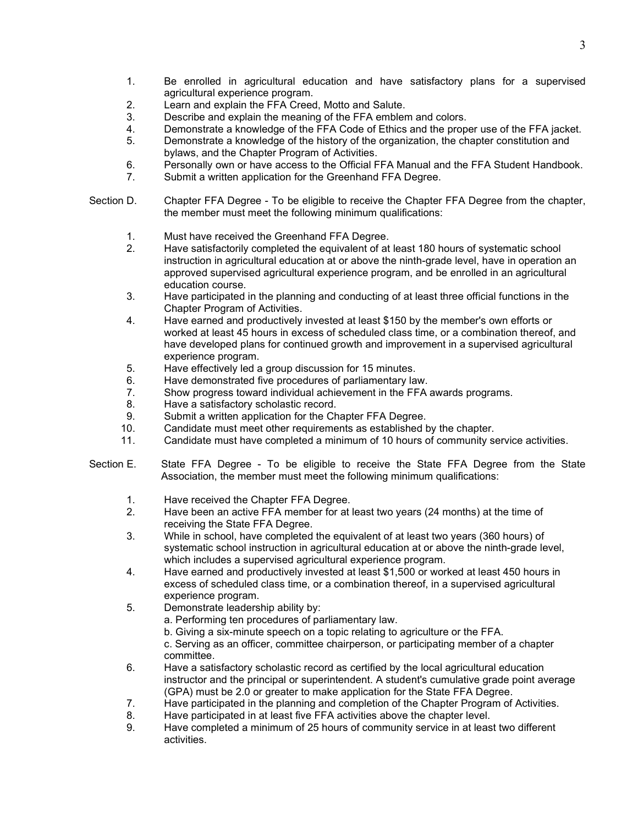- 1. Be enrolled in agricultural education and have satisfactory plans for a supervised agricultural experience program.
- 2. Learn and explain the FFA Creed, Motto and Salute.
- 3. Describe and explain the meaning of the FFA emblem and colors.
- 4. Demonstrate a knowledge of the FFA Code of Ethics and the proper use of the FFA jacket.
- 5. Demonstrate a knowledge of the history of the organization, the chapter constitution and bylaws, and the Chapter Program of Activities.
- 6. Personally own or have access to the Official FFA Manual and the FFA Student Handbook.
- 7. Submit a written application for the Greenhand FFA Degree.
- Section D. Chapter FFA Degree To be eligible to receive the Chapter FFA Degree from the chapter, the member must meet the following minimum qualifications:
	- 1. Must have received the Greenhand FFA Degree.
	- 2. Have satisfactorily completed the equivalent of at least 180 hours of systematic school instruction in agricultural education at or above the ninth-grade level, have in operation an approved supervised agricultural experience program, and be enrolled in an agricultural education course.
	- 3. Have participated in the planning and conducting of at least three official functions in the Chapter Program of Activities.
	- 4. Have earned and productively invested at least \$150 by the member's own efforts or worked at least 45 hours in excess of scheduled class time, or a combination thereof, and have developed plans for continued growth and improvement in a supervised agricultural experience program.
	- 5. Have effectively led a group discussion for 15 minutes.
	- 6. Have demonstrated five procedures of parliamentary law.
	- 7. Show progress toward individual achievement in the FFA awards programs.
	- 8. Have a satisfactory scholastic record.
	- 9. Submit a written application for the Chapter FFA Degree.
	- 10. Candidate must meet other requirements as established by the chapter.
	- 11. Candidate must have completed a minimum of 10 hours of community service activities.
- Section E. State FFA Degree To be eligible to receive the State FFA Degree from the State Association, the member must meet the following minimum qualifications:
	- 1. Have received the Chapter FFA Degree.
	- 2. Have been an active FFA member for at least two years (24 months) at the time of receiving the State FFA Degree.
	- 3. While in school, have completed the equivalent of at least two years (360 hours) of systematic school instruction in agricultural education at or above the ninth-grade level, which includes a supervised agricultural experience program.
	- 4. Have earned and productively invested at least \$1,500 or worked at least 450 hours in excess of scheduled class time, or a combination thereof, in a supervised agricultural experience program.
	- 5. Demonstrate leadership ability by:
		- a. Performing ten procedures of parliamentary law.
		- b. Giving a six-minute speech on a topic relating to agriculture or the FFA.
		- c. Serving as an officer, committee chairperson, or participating member of a chapter committee.
	- 6. Have a satisfactory scholastic record as certified by the local agricultural education instructor and the principal or superintendent. A student's cumulative grade point average (GPA) must be 2.0 or greater to make application for the State FFA Degree.
	- 7. Have participated in the planning and completion of the Chapter Program of Activities.
	- 8. Have participated in at least five FFA activities above the chapter level.
	- 9. Have completed a minimum of 25 hours of community service in at least two different activities.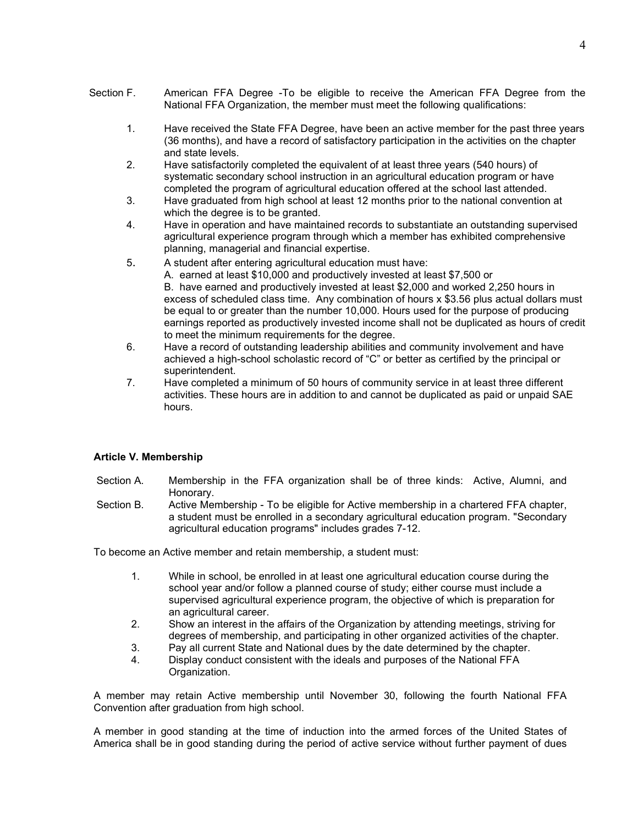- Section F. American FFA Degree -To be eligible to receive the American FFA Degree from the National FFA Organization, the member must meet the following qualifications:
	- 1. Have received the State FFA Degree, have been an active member for the past three years (36 months), and have a record of satisfactory participation in the activities on the chapter and state levels.
	- 2. Have satisfactorily completed the equivalent of at least three years (540 hours) of systematic secondary school instruction in an agricultural education program or have completed the program of agricultural education offered at the school last attended.
	- 3. Have graduated from high school at least 12 months prior to the national convention at which the degree is to be granted.
	- 4. Have in operation and have maintained records to substantiate an outstanding supervised agricultural experience program through which a member has exhibited comprehensive planning, managerial and financial expertise.
	- 5. A student after entering agricultural education must have:
		- A. earned at least \$10,000 and productively invested at least \$7,500 or

B. have earned and productively invested at least \$2,000 and worked 2,250 hours in excess of scheduled class time. Any combination of hours x \$3.56 plus actual dollars must be equal to or greater than the number 10,000. Hours used for the purpose of producing earnings reported as productively invested income shall not be duplicated as hours of credit to meet the minimum requirements for the degree.

- 6. Have a record of outstanding leadership abilities and community involvement and have achieved a high-school scholastic record of "C" or better as certified by the principal or superintendent.
- 7. Have completed a minimum of 50 hours of community service in at least three different activities. These hours are in addition to and cannot be duplicated as paid or unpaid SAE hours.

## Article V. Membership

- Section A. Membership in the FFA organization shall be of three kinds: Active, Alumni, and Honorary.
- Section B. Active Membership To be eligible for Active membership in a chartered FFA chapter, a student must be enrolled in a secondary agricultural education program. "Secondary agricultural education programs" includes grades 7-12.

To become an Active member and retain membership, a student must:

- 1. While in school, be enrolled in at least one agricultural education course during the school year and/or follow a planned course of study; either course must include a supervised agricultural experience program, the objective of which is preparation for an agricultural career.
- 2. Show an interest in the affairs of the Organization by attending meetings, striving for degrees of membership, and participating in other organized activities of the chapter.
- 3. Pay all current State and National dues by the date determined by the chapter. 4. Display conduct consistent with the ideals and purposes of the National FFA
	- Organization.

A member may retain Active membership until November 30, following the fourth National FFA Convention after graduation from high school.

A member in good standing at the time of induction into the armed forces of the United States of America shall be in good standing during the period of active service without further payment of dues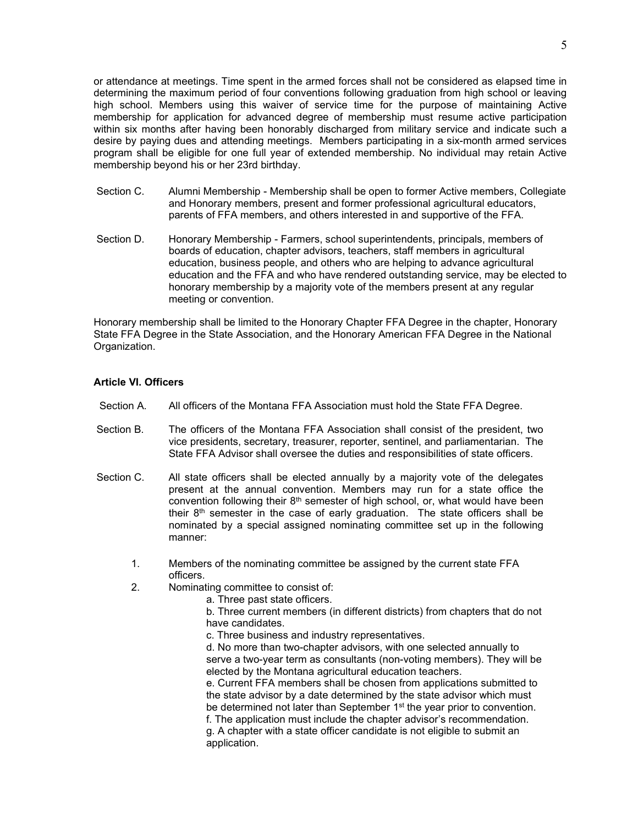or attendance at meetings. Time spent in the armed forces shall not be considered as elapsed time in determining the maximum period of four conventions following graduation from high school or leaving high school. Members using this waiver of service time for the purpose of maintaining Active membership for application for advanced degree of membership must resume active participation within six months after having been honorably discharged from military service and indicate such a desire by paying dues and attending meetings. Members participating in a six-month armed services program shall be eligible for one full year of extended membership. No individual may retain Active membership beyond his or her 23rd birthday.

- Section C. Alumni Membership Membership shall be open to former Active members, Collegiate and Honorary members, present and former professional agricultural educators, parents of FFA members, and others interested in and supportive of the FFA.
- Section D. Honorary Membership Farmers, school superintendents, principals, members of boards of education, chapter advisors, teachers, staff members in agricultural education, business people, and others who are helping to advance agricultural education and the FFA and who have rendered outstanding service, may be elected to honorary membership by a majority vote of the members present at any regular meeting or convention.

Honorary membership shall be limited to the Honorary Chapter FFA Degree in the chapter, Honorary State FFA Degree in the State Association, and the Honorary American FFA Degree in the National Organization.

#### Article VI. Officers

- Section A. All officers of the Montana FFA Association must hold the State FFA Degree.
- Section B. The officers of the Montana FFA Association shall consist of the president, two vice presidents, secretary, treasurer, reporter, sentinel, and parliamentarian. The State FFA Advisor shall oversee the duties and responsibilities of state officers.
- Section C. All state officers shall be elected annually by a majority vote of the delegates present at the annual convention. Members may run for a state office the convention following their  $8<sup>th</sup>$  semester of high school, or, what would have been their  $8<sup>th</sup>$  semester in the case of early graduation. The state officers shall be nominated by a special assigned nominating committee set up in the following manner:
	- 1. Members of the nominating committee be assigned by the current state FFA officers.
	- 2. Nominating committee to consist of:

a. Three past state officers.

b. Three current members (in different districts) from chapters that do not have candidates.

c. Three business and industry representatives.

d. No more than two-chapter advisors, with one selected annually to serve a two-year term as consultants (non-voting members). They will be elected by the Montana agricultural education teachers.

e. Current FFA members shall be chosen from applications submitted to the state advisor by a date determined by the state advisor which must be determined not later than September 1<sup>st</sup> the year prior to convention. f. The application must include the chapter advisor's recommendation. g. A chapter with a state officer candidate is not eligible to submit an application.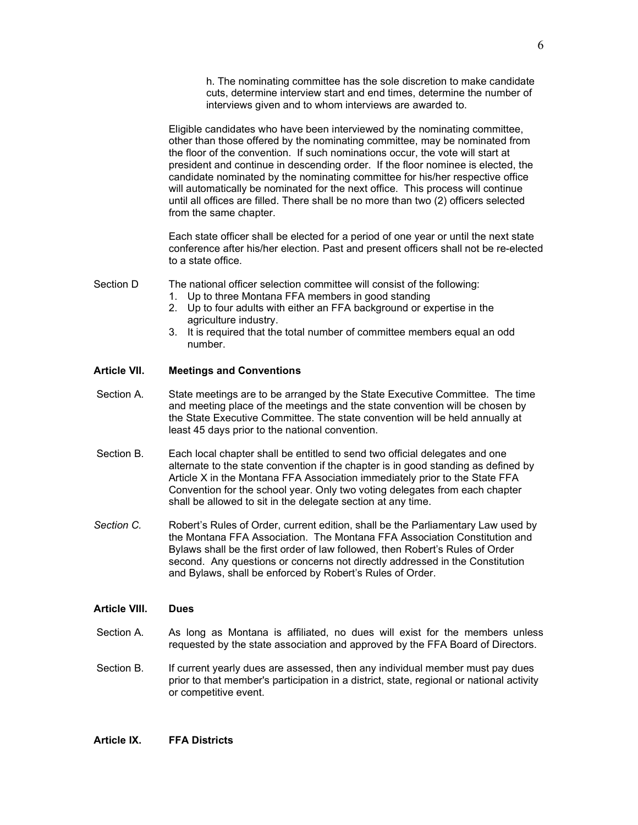h. The nominating committee has the sole discretion to make candidate cuts, determine interview start and end times, determine the number of interviews given and to whom interviews are awarded to.

Eligible candidates who have been interviewed by the nominating committee, other than those offered by the nominating committee, may be nominated from the floor of the convention. If such nominations occur, the vote will start at president and continue in descending order. If the floor nominee is elected, the candidate nominated by the nominating committee for his/her respective office will automatically be nominated for the next office. This process will continue until all offices are filled. There shall be no more than two (2) officers selected from the same chapter.

Each state officer shall be elected for a period of one year or until the next state conference after his/her election. Past and present officers shall not be re-elected to a state office.

Section D The national officer selection committee will consist of the following:

- 1. Up to three Montana FFA members in good standing
- 2. Up to four adults with either an FFA background or expertise in the agriculture industry.
- 3. It is required that the total number of committee members equal an odd number.

#### Article VII. Meetings and Conventions

- Section A. State meetings are to be arranged by the State Executive Committee. The time and meeting place of the meetings and the state convention will be chosen by the State Executive Committee. The state convention will be held annually at least 45 days prior to the national convention.
- Section B. Each local chapter shall be entitled to send two official delegates and one alternate to the state convention if the chapter is in good standing as defined by Article X in the Montana FFA Association immediately prior to the State FFA Convention for the school year. Only two voting delegates from each chapter shall be allowed to sit in the delegate section at any time.
- Section C. Robert's Rules of Order, current edition, shall be the Parliamentary Law used by the Montana FFA Association. The Montana FFA Association Constitution and Bylaws shall be the first order of law followed, then Robert's Rules of Order second. Any questions or concerns not directly addressed in the Constitution and Bylaws, shall be enforced by Robert's Rules of Order.

#### Article VIII. Dues

- Section A. As long as Montana is affiliated, no dues will exist for the members unless requested by the state association and approved by the FFA Board of Directors.
- Section B. If current yearly dues are assessed, then any individual member must pay dues prior to that member's participation in a district, state, regional or national activity or competitive event.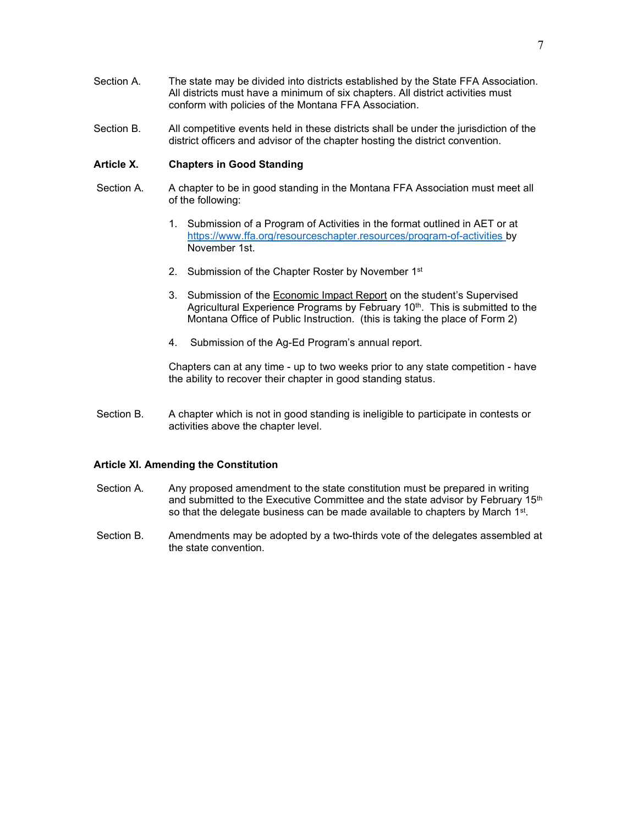- Section A. The state may be divided into districts established by the State FFA Association. All districts must have a minimum of six chapters. All district activities must conform with policies of the Montana FFA Association.
- Section B. All competitive events held in these districts shall be under the jurisdiction of the district officers and advisor of the chapter hosting the district convention.

### Article X. Chapters in Good Standing

- Section A. A chapter to be in good standing in the Montana FFA Association must meet all of the following:
	- 1. Submission of a Program of Activities in the format outlined in AET or at https://www.ffa.org/resourceschapter.resources/program-of-activities by November 1st.
	- 2. Submission of the Chapter Roster by November 1<sup>st</sup>
	- 3. Submission of the Economic Impact Report on the student's Supervised Agricultural Experience Programs by February 10<sup>th</sup>. This is submitted to the Montana Office of Public Instruction. (this is taking the place of Form 2)
	- 4. Submission of the Ag-Ed Program's annual report.

Chapters can at any time - up to two weeks prior to any state competition - have the ability to recover their chapter in good standing status.

Section B. A chapter which is not in good standing is ineligible to participate in contests or activities above the chapter level.

#### Article XI. Amending the Constitution

- Section A. Any proposed amendment to the state constitution must be prepared in writing and submitted to the Executive Committee and the state advisor by February 15<sup>th</sup> so that the delegate business can be made available to chapters by March 1<sup>st</sup>.
- Section B. Amendments may be adopted by a two-thirds vote of the delegates assembled at the state convention.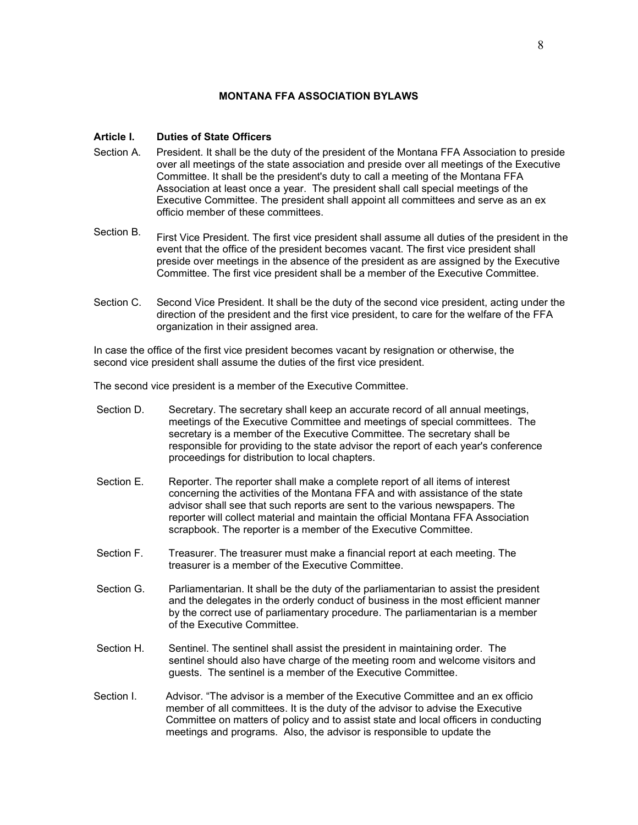### MONTANA FFA ASSOCIATION BYLAWS

# Article I. Duties of State Officers

- Section A. President. It shall be the duty of the president of the Montana FFA Association to preside over all meetings of the state association and preside over all meetings of the Executive Committee. It shall be the president's duty to call a meeting of the Montana FFA Association at least once a year. The president shall call special meetings of the Executive Committee. The president shall appoint all committees and serve as an ex officio member of these committees.
- Section B. First Vice President. The first vice president shall assume all duties of the president in the event that the office of the president becomes vacant. The first vice president shall preside over meetings in the absence of the president as are assigned by the Executive Committee. The first vice president shall be a member of the Executive Committee.
- Section C. Second Vice President. It shall be the duty of the second vice president, acting under the direction of the president and the first vice president, to care for the welfare of the FFA organization in their assigned area.

In case the office of the first vice president becomes vacant by resignation or otherwise, the second vice president shall assume the duties of the first vice president.

The second vice president is a member of the Executive Committee.

- Section D. Secretary. The secretary shall keep an accurate record of all annual meetings, meetings of the Executive Committee and meetings of special committees. The secretary is a member of the Executive Committee. The secretary shall be responsible for providing to the state advisor the report of each year's conference proceedings for distribution to local chapters.
- Section E. Reporter. The reporter shall make a complete report of all items of interest concerning the activities of the Montana FFA and with assistance of the state advisor shall see that such reports are sent to the various newspapers. The reporter will collect material and maintain the official Montana FFA Association scrapbook. The reporter is a member of the Executive Committee.
- Section F. Treasurer. The treasurer must make a financial report at each meeting. The treasurer is a member of the Executive Committee.
- Section G. Parliamentarian. It shall be the duty of the parliamentarian to assist the president and the delegates in the orderly conduct of business in the most efficient manner by the correct use of parliamentary procedure. The parliamentarian is a member of the Executive Committee.
- Section H. Sentinel. The sentinel shall assist the president in maintaining order. The sentinel should also have charge of the meeting room and welcome visitors and guests. The sentinel is a member of the Executive Committee.
- Section I. Advisor. "The advisor is a member of the Executive Committee and an ex officio member of all committees. It is the duty of the advisor to advise the Executive Committee on matters of policy and to assist state and local officers in conducting meetings and programs. Also, the advisor is responsible to update the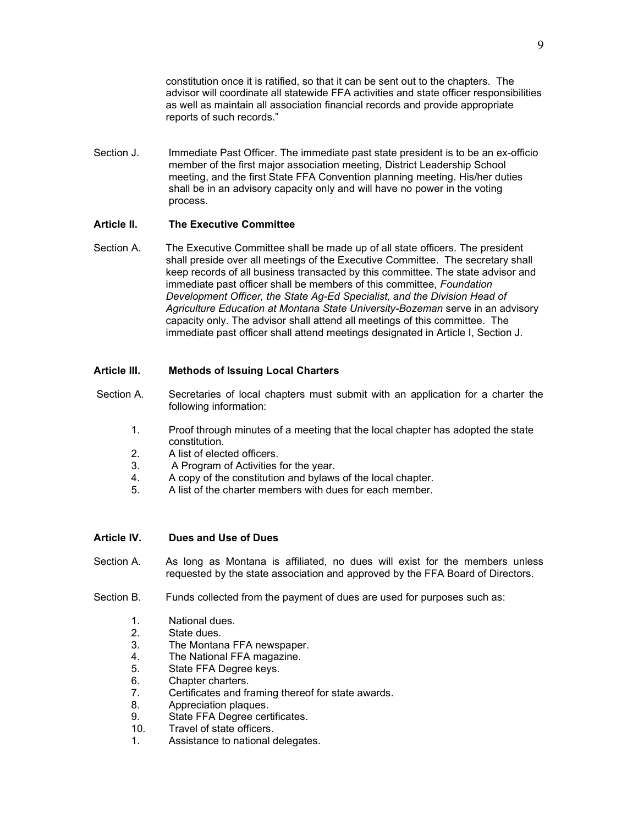constitution once it is ratified, so that it can be sent out to the chapters. The advisor will coordinate all statewide FFA activities and state officer responsibilities as well as maintain all association financial records and provide appropriate reports of such records."

Section J. Immediate Past Officer. The immediate past state president is to be an ex-officio member of the first major association meeting, District Leadership School meeting, and the first State FFA Convention planning meeting. His/her duties shall be in an advisory capacity only and will have no power in the voting process.

# Article II. The Executive Committee

Section A. The Executive Committee shall be made up of all state officers. The president shall preside over all meetings of the Executive Committee. The secretary shall keep records of all business transacted by this committee. The state advisor and immediate past officer shall be members of this committee, Foundation Development Officer, the State Ag-Ed Specialist, and the Division Head of Agriculture Education at Montana State University-Bozeman serve in an advisory capacity only. The advisor shall attend all meetings of this committee. The immediate past officer shall attend meetings designated in Article I, Section J.

# Article III. Methods of Issuing Local Charters

- Section A. Secretaries of local chapters must submit with an application for a charter the following information:
	- 1. Proof through minutes of a meeting that the local chapter has adopted the state constitution.
	- 2. A list of elected officers.
	- 3. A Program of Activities for the year.
	- 4. A copy of the constitution and bylaws of the local chapter.
	- 5. A list of the charter members with dues for each member.

## Article IV. Dues and Use of Dues

- Section A. As long as Montana is affiliated, no dues will exist for the members unless requested by the state association and approved by the FFA Board of Directors.
- Section B. Funds collected from the payment of dues are used for purposes such as:
	- 1. National dues.
	- 2. State dues.
	- 3. The Montana FFA newspaper.
	- 4. The National FFA magazine.
	- 5. State FFA Degree keys.
	- 6. Chapter charters.
	- 7. Certificates and framing thereof for state awards.
	- 8. Appreciation plaques.
	- 9. State FFA Degree certificates.
	- 10. Travel of state officers.
	- 1. Assistance to national delegates.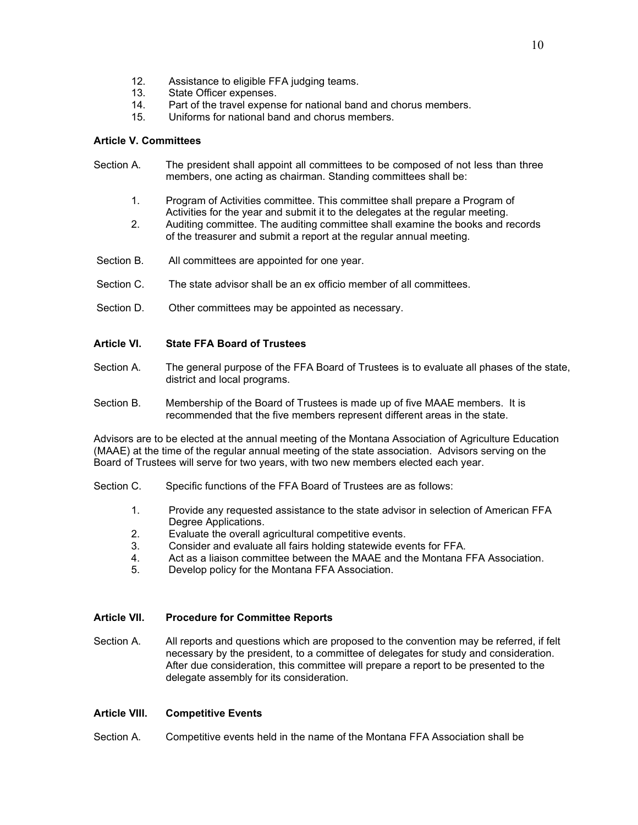- 12. Assistance to eligible FFA judging teams.
- 13. State Officer expenses.
- 14. Part of the travel expense for national band and chorus members.
- 15. Uniforms for national band and chorus members.

# Article V. Committees

- Section A. The president shall appoint all committees to be composed of not less than three members, one acting as chairman. Standing committees shall be:
	- 1. Program of Activities committee. This committee shall prepare a Program of Activities for the year and submit it to the delegates at the regular meeting.
	- 2. Auditing committee. The auditing committee shall examine the books and records of the treasurer and submit a report at the regular annual meeting.
- Section B. All committees are appointed for one year.
- Section C. The state advisor shall be an ex officio member of all committees.
- Section D. Other committees may be appointed as necessary.

# Article VI. State FFA Board of Trustees

- Section A. The general purpose of the FFA Board of Trustees is to evaluate all phases of the state, district and local programs.
- Section B. Membership of the Board of Trustees is made up of five MAAE members. It is recommended that the five members represent different areas in the state.

Advisors are to be elected at the annual meeting of the Montana Association of Agriculture Education (MAAE) at the time of the regular annual meeting of the state association. Advisors serving on the Board of Trustees will serve for two years, with two new members elected each year.

- Section C. Specific functions of the FFA Board of Trustees are as follows:
	- 1. Provide any requested assistance to the state advisor in selection of American FFA Degree Applications.
	- 2. Evaluate the overall agricultural competitive events.
	- 3. Consider and evaluate all fairs holding statewide events for FFA.
	- 4. Act as a liaison committee between the MAAE and the Montana FFA Association.
	- 5. Develop policy for the Montana FFA Association.

## Article VII. Procedure for Committee Reports

Section A. All reports and questions which are proposed to the convention may be referred, if felt necessary by the president, to a committee of delegates for study and consideration. After due consideration, this committee will prepare a report to be presented to the delegate assembly for its consideration.

## Article VIII. Competitive Events

Section A. Competitive events held in the name of the Montana FFA Association shall be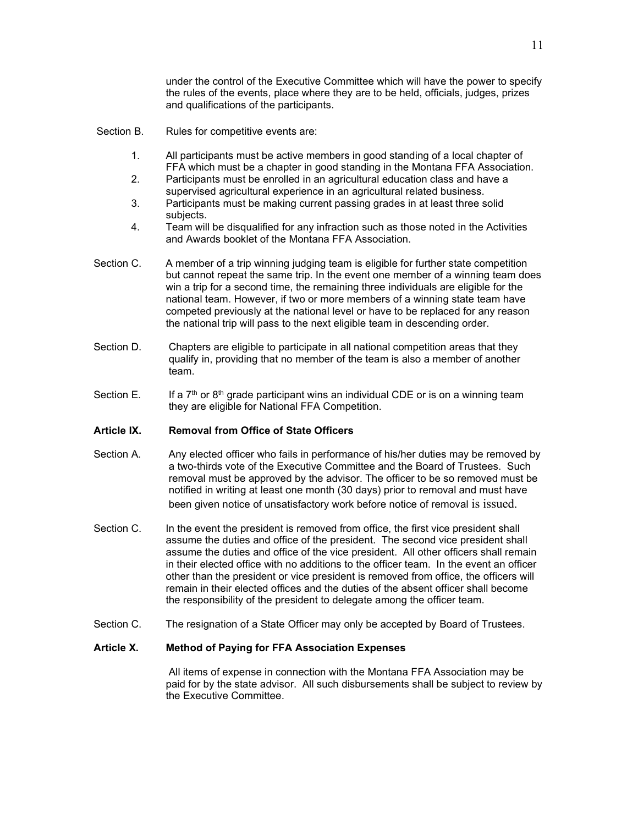under the control of the Executive Committee which will have the power to specify the rules of the events, place where they are to be held, officials, judges, prizes and qualifications of the participants.

- Section B. Rules for competitive events are:
	- 1. All participants must be active members in good standing of a local chapter of FFA which must be a chapter in good standing in the Montana FFA Association.
	- 2. Participants must be enrolled in an agricultural education class and have a supervised agricultural experience in an agricultural related business.
	- 3. Participants must be making current passing grades in at least three solid subjects.
	- 4. Team will be disqualified for any infraction such as those noted in the Activities and Awards booklet of the Montana FFA Association.
- Section C. A member of a trip winning judging team is eligible for further state competition but cannot repeat the same trip. In the event one member of a winning team does win a trip for a second time, the remaining three individuals are eligible for the national team. However, if two or more members of a winning state team have competed previously at the national level or have to be replaced for any reason the national trip will pass to the next eligible team in descending order.
- Section D. Chapters are eligible to participate in all national competition areas that they qualify in, providing that no member of the team is also a member of another team.
- Section E. If a 7<sup>th</sup> or 8<sup>th</sup> grade participant wins an individual CDE or is on a winning team they are eligible for National FFA Competition.

## Article IX. Removal from Office of State Officers

- Section A. Any elected officer who fails in performance of his/her duties may be removed by a two-thirds vote of the Executive Committee and the Board of Trustees. Such removal must be approved by the advisor. The officer to be so removed must be notified in writing at least one month (30 days) prior to removal and must have been given notice of unsatisfactory work before notice of removal is issued.
- Section C. In the event the president is removed from office, the first vice president shall assume the duties and office of the president. The second vice president shall assume the duties and office of the vice president. All other officers shall remain in their elected office with no additions to the officer team. In the event an officer other than the president or vice president is removed from office, the officers will remain in their elected offices and the duties of the absent officer shall become the responsibility of the president to delegate among the officer team.
- Section C. The resignation of a State Officer may only be accepted by Board of Trustees.

# Article X. Method of Paying for FFA Association Expenses

All items of expense in connection with the Montana FFA Association may be paid for by the state advisor. All such disbursements shall be subject to review by the Executive Committee.